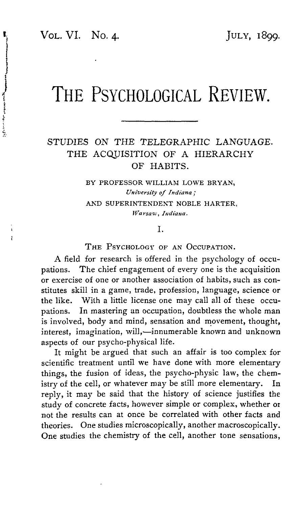**Contact of the American State of the American** 

# THE PSYCHOLOGICAL REVIEW.

# STUDIES ON THE TELEGRAPHIC LANGUAGE. THE ACQUISITION OF A HIERARCHY OF HABITS.

BY PROFESSOR WILLIAM LOWE BRYAN, *University of Indiana*; AND SUPERINTENDENT NOBLE HARTER,  $Warsaw$ , Indiana.

I.

THE PSYCHOLOGY OF AN OCCUPATION.

A field for research is offered in the psychology of occupations. The chief engagement of every one is the acquisition or exercise of one or another association of habits, such as constitutes skill in a game, trade, profession, language, science or the like. With a little license one may call all of these occupations. In mastering an occupation, doubtless the whole man is involved, body and mind, sensation and movement, thought, interest, imagination, will,—innumerable known and unknown aspects of our psycho-physical life.

It might be argued that such an affair is too complex for scientific treatment until we have done with more elementary things, the fusion of ideas, the psycho-physic law, the chemistry of the cell, or whatever may be still more elementary. In reply, it may be said that the history of science justifies the study of concrete facts, however simple or complex, whether 01 not the results can at once be correlated with other facts and theories. One studies microscopically, another macroscopically. One studies the chemistry of the cell, another tone sensations,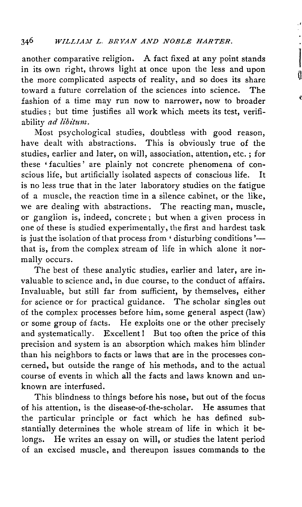another comparative religion. A fact fixed at any point stands in its own right, throws light at once upon the less and upon the more complicated aspects of reality, and so does its share toward a future correlation of the sciences into science. The fashion of a time may run now to narrower, now to broader studies; but time justifies all work which meets its test, verifiability *ad libitum.*

Most psychological studies, doubtless with good reason, have dealt with abstractions. This is obviously true of the studies, earlier and later, on will, association, attention, etc. ; for these 'faculties' are plainly not concrete phenomena of conscious life, but artificially isolated aspects of conscious life. It is no less true that in the later laboratory studies on the fatigue of a muscle, the reaction time in a silence cabinet, or the like, we are dealing with abstractions. The reacting man, muscle, or ganglion is, indeed, concrete; but when a given process in one of these is studied experimentally, the first and hardest task is just the isolation of that process from ' disturbing conditions ' that is, from the complex stream of life in which alone it normally occurs.

The best of these analytic studies, earlier and later, are invaluable to science and, in due course, to the conduct of affairs. Invaluable, but still far from sufficient, by themselves, either for science or for practical guidance. The scholar singles out of the complex processes before him, some general aspect (law) or some group of facts. He exploits one or the other precisely and systematically. Excellent! But too often the price of this precision and system is an absorption which makes him blinder than his neighbors to facts or laws that are in the processes concerned, but outside the range of his methods, and to the actual course of events in which all the facts and laws known and unknown are interfused.

This blindness to things before his nose, but out of the focus of his attention, is the disease-of-the-scholar. He assumes that the particular principle or fact which he has defined substantially determines the whole stream of life in which it belongs. He writes an essay on will, or studies the latent period of an excised muscle, and thereupon issues commands to the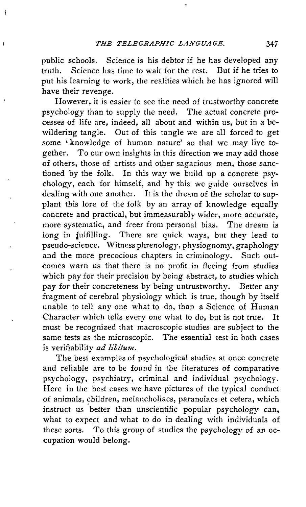ł

public schools. Science is his debtor if he has developed any truth. Science has time to wait for the rest. But if he tries to put his learning to work, the realities which he has ignored will have their revenge.

However, it is easier to see the need of trustworthy concrete psychology than to supply the need. The actual concrete processes of life are, indeed, all about and within us, but in a bewildering tangle. Out of this tangle we are all forced to get some ' knowledge of human nature' so that we may live together. To our own insights in this direction we may add those of others, those of artists and other sagacious men, those sanctioned by the folk. In this way we build up a concrete psychology, each for himself, and by this we guide ourselves in dealing with one another. It is the dream of the scholar to supplant this lore of the folk by an array of knowledge equally concrete and practical, but immeasurably wider, more accurate, more systematic, and freer from personal bias. The dream is long in fulfilling. There are quick ways, but they lead to pseudo-science. Witness phrenology, physiognomy, graphology and the more precocious chapters in criminology. Such outcomes warn us that there is no profit in fleeing from studies which pay for their precision by being abstract, to studies which pay for their concreteness by being untrustworthy. Better any fragment of cerebral physiology which is true, though by itself unable to tell any one what to do, than a Science of Human Character which tells every one what to do, but is not true. It must be recognized that macroscopic studies are subject to the same tests as the microscopic. The essential test in both cases is verifiability *ad libitum.*

The best examples of psychological studies at once concrete and reliable are to be found in the literatures of comparative psychology, psychiatry, criminal and individual psychology. Here in the best cases we have pictures of the typical conduct of animals, children, melancholiacs, paranoiacs et cetera, which instruct us better than unscientific popular psychology can, what to expect and what to do in dealing with individuals of these sorts. To this group of studies the psychology of an occupation would belong.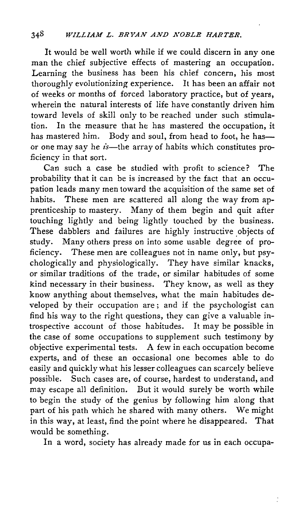It would be well worth while if we could discern in any one man the chief subjective effects of mastering an occupation. Learning the business has been his chief concern, his most thoroughly evolutionizing experience. It has been an affair not of weeks or months of forced laboratory practice, but of years, wherein the natural interests of life have constantly driven him toward levels of skill only to be reached under such stimulation. In the measure that he has mastered the occupation, it has mastered him. Body and soul, from head to foot, he has or one may say he *is*—the array of habits which constitutes proficiency in that sort.

Can such a case be studied with profit to science? The probability that it can be is increased by the fact that an occupation leads many men toward the acquisition of the same set of habits. These men are scattered all along the way from apprenticeship to mastery. Many of them begin and quit after touching lightly and being lightly touched by the business. These dabblers and failures are highly instructive objects of study. Many others press on into some usable degree of proficiency. These men are colleagues not in name only, but psychologically and physiologically. They have similar knacks, or similar traditions of the trade, or similar habitudes of some kind necessary in their business. They know, as well as they know anything about themselves, what the main habitudes developed by their occupation are; and if the psychologist can find his way to the right questions, they can give a valuable introspective account of those habitudes. It may be possible in the case of some occupations to supplement such testimony by objective experimental tests. A few in each occupation become experts, and of these an occasional one becomes able to do easily and quickly what his lesser colleagues can scarcely believe possible. Such cases are, of course, hardest to understand, and may escape all definition. But it would surely be worth while to begin the study of the genius *\>y* following him along that part of his path which he shared with many others. We might in this way, at least, find the point where he disappeared. That would be something.

In a word, society has already made for us in each occupa-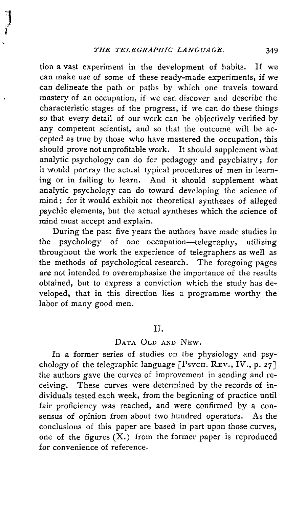tion a vast experiment in the development of habits. If we can make use of some of these ready-made experiments, if we can delineate the path or paths by which one travels toward mastery of an occupation, if we can discover and describe the characteristic stages of the progress, if we can do these things so that every detail of our work can be objectively verified by any competent scientist, and so that the outcome will be accepted as true by those who have mastered the occupation, this should prove not unprofitable work. It should supplement what analytic psychology can do for pedagogy and psychiatry; for it would portray the actual typical procedures of men in learning or in failing to learn. And it should supplement what analytic psychology can do toward developing the science of mind; for it would exhibit not theoretical syntheses of alleged psychic elements, but the actual syntheses which the science of mind must accept and explain.

During the past five years the authors have made studies in the psychology of one occupation—telegraphy, utilizing throughout the work the experience of telegraphers as well as the methods of psychological research. The foregoing pages are not intended to overemphasize the importance of the results obtained, but to express a conviction which the study has developed, that in this direction lies a programme worthy the labor of many good men.

#### II.

## DATA OLD AND NEW.

In a former series of studies on the physiology and psychology of the telegraphic language  $[$ Psych. REV., IV., p. 27 $]$ the authors gave the curves of improvement in sending and receiving. These curves were determined by the records of individuals tested each week, from the beginning of practice until fair proficiency was reached, and were confirmed by a consensus of opinion from about two hundred operators. As the conclusions of this paper are based in part upon those curves, one of the figures  $(X)$  from the former paper is reproduced for convenience of reference.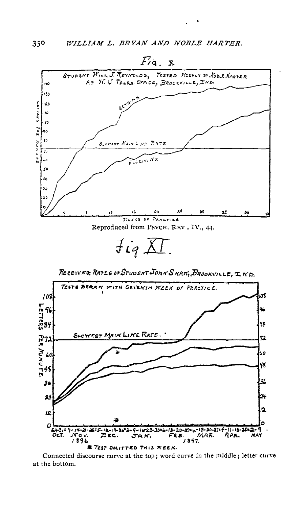

at the bottom.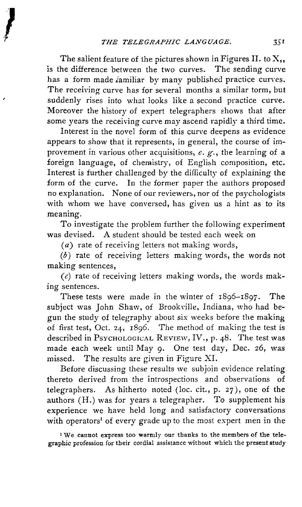The salient feature of the pictures shown in Figures II. to X,, is the difference between the two curves. The sending curve has a form made *iamiliar* by many published practice curves. The receiving curve has for several months a similar torm, but suddenly rises into what looks like a second practice curve. Moreover the history of expert telegraphers shows that after some years the receiving curve may ascend rapidly a third time.

Interest in the novel form of this curve deepens as evidence appears to show that it represents, in general, the course of improvement in various other acquisitions, *e. g:,* the learning of a foreign language, of chemistry, of English composition, etc. Interest is further challenged by the difficulty of explaining the form of the curve. In the former paper the authors proposed no explanation. None of our reviewers, nor of the psychologists with whom we have conversed, has given us a hint as to its meaning.

To investigate the problem further the following experiment was devised. A student should be tested each week on

*(a)* rate of receiving letters not making words,

*(b)* rate of receiving letters making words, the words not making sentences,

*(c)* rate of receiving letters making words, the words making sentences.

These tests were made in the winter of 1896-1897. The subject was John Shaw, of Brookville, Indiana, who had begun the study of telegraphy about six weeks before the making of first test, Oct. 24, 1896. The method of making the test is described in PSYCHOLOGICAL REVIEW, IV., p. 48. The test was made each week until May 9. One test day, Dec. 26, was missed. The results are given in Figure XI.

Before discussing these results we subjoin evidence relating thereto derived from the introspections and observations of telegraphers. As hitherto noted (loc. cit., p. 27), one of the authors (H.) was for years a telegrapher. To supplement his experience we have held long and satisfactory conversations with operators' of every grade up to the most expert men in the

1 We cannot express too warmly our thanks to the members of the telegraphic profession for their cordial assistance without which the present study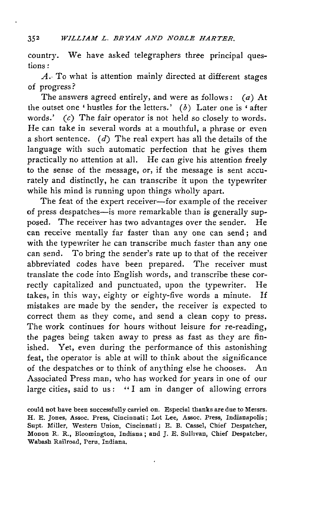country. We have asked telegraphers three principal questions :

*A.-* To what is attention mainly directed at different stages of progress?

The answers agreed entirely, and were as follows: *(a)* At the outset one ' hustles for the letters.' *(b)* Later one is ' after words.'  $(c)$  The fair operator is not held so closely to words. He can take in several words at a mouthful, a phrase or even a short sentence. (d) The real expert has all the details of the language with such automatic perfection that he gives them practically no attention at all. He can give his attention freely to the sense of the message, or, if the message is sent accurately and distinctly, he can transcribe it upon the typewriter while his mind is running upon things wholly apart.

The feat of the expert receiver—for example of the receiver of press despatches—is more remarkable than is generally supposed. The receiver has two advantages over the sender. He can receive mentally far faster than any one can send; and with the typewriter he can transcribe much faster than any one can send. To bring the sender's rate up to that of the receiver abbreviated codes have been prepared. The receiver must translate the code into English words, and transcribe these correctly capitalized and punctuated, upon the typewriter. He takes, in this way, eighty or eighty-five words a minute. If mistakes are made by the sender, the receiver is expected to correct them as they come, and send a clean copy to press. The work continues for hours without leisure for re-reading, the pages being taken away to press as fast as they are finished. Yet, even during the performance of this astonishing feat, the operator is able at will to think about the significance of the despatches or to think of anything else he chooses. An Associated Press man, who has worked for years in one of our large cities, said to us: "I am in danger of allowing errors

could not have been successfully carried on. Especial thanks are due to Messrs. H. E. Jones, Assoc. Press, Cincinnati; Lot Lee, Assoc. Press, Indianapolis; Supt. Miller, Western Union, Cincinnati; E. B. Cassel, Chief Despatcher, Monon R. R., Bloomingtou, Indiana ; and J. E. Sullivan, Chief Despatcher, Wabash Railroad, Peru, Indiana.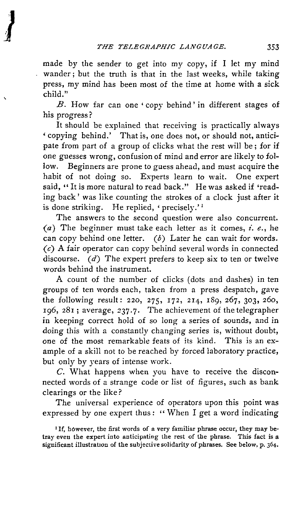*I*

made by the sender to get into my copy, if I let my mind wander; but the truth is that in the last weeks, while taking press, my mind has been most of the time at home with a sick child."

*B.* How far can one ' copy behind' in different stages of his progress?

It should be explained that receiving is practically always ' copying behind.' That is, one does not, or should not, anticipate from part of a group of clicks what the rest will be; for if one guesses wrong, confusion of mind and error are likely to follow. Beginners are prone to guess ahead, and must acquire the habit of not doing so. Experts learn to wait. One expert said, "It is more natural to read back." He was asked if 'reading back' was like counting the strokes of a clock just after it is done striking. He replied, ' precisely.''

The answers to the second question were also concurrent. *(a)* The beginner must take each letter as it comes, *i. e.,* he can copy behind one letter.  $(b)$  Later he can wait for words. *(c")* A fair operator can copy behind several words in connected discourse, *(d)* The expert prefers to keep six to ten or twelve words behind the instrument.

A count of the number of clicks (dots and dashes) in ten groups of ten words each, taken from a press despatch, gave the following result: 220, 275, 172, 214, 189, 267, 303, 260, 196, 281 ; average, 237.7. The achievement of the telegrapher in keeping correct hold of so long a series of sounds, and in doing this with a constantly changing series is, without doubt, one of the most remarkable feats of its kind. This is an example of a skill not to be reached by forced laboratory practice, but only by years of intense work.

*C.* What happens when you have to receive the disconnected words of a strange code or list of figures, such as bank clearings or the like?

The universal experience of operators upon this point was expressed by one expert thus : " When I get a word indicating

<sup>&</sup>lt;sup>1</sup> If, however, the first words of a very familiar phrase occur, they may betray even the expert into anticipating the rest of the phrase. This fact is a significant illustration of the subjective solidarity of phrases. See below, p. 364.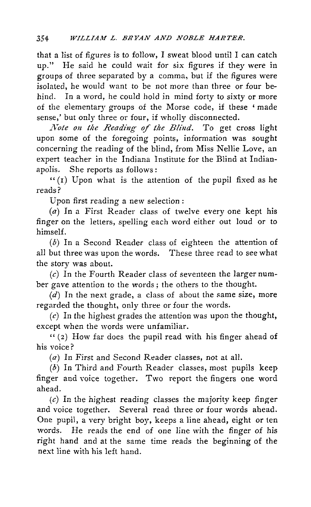that a list of figures is to follow, I sweat blood until I can catch up." He said he could wait for six figures if they were in groups of three separated by a comma, but if the figures were isolated, he would want to be not more than three or four behind. In a word, he could hold in mind forty to sixty or more of the elementary groups of the Morse code, if these 'made sense,' but only three or four, if wholly disconnected.

*Note on the Reading of the Blind.* To get cross light upon some of the foregoing points, information was sought concerning the reading of the blind, from Miss Nellie Love, an expert teacher in the Indiana Institute for the Blind at Indianapolis. She reports as follows :

 $''(1)$  Upon what is the attention of the pupil fixed as he reads ?

Upon first reading a new selection :

*(a)* In a First Reader class of twelve every one kept his finger on the letters, spelling each word either out loud or to himself.

*(b)* In a Second Reader class of eighteen the attention of all but three was upon the words. These three read to see what the story was about.

*(c)* In the Fourth Reader class of seventeen the larger number gave attention to the words; the others to the thought.

 $\overline{d}$ ) In the next grade, a class of about the same size, more regarded the thought, only three or four the words.

*(c)* In the highest grades the attention was upon the thought, except when the words were unfamiliar.

 $''$  (2) How far does the pupil read with his finger ahead of his voice?

*(a)* In First and Second Reader classes, not at all.

*(b)* In Third and Fourth Reader classes, most pupils keep finger and voice together. Two report the fingers one word ahead.

*(c)* In the highest reading classes the majority keep finger and voice together. Several read three or four words ahead. One pupil, a very bright boy, keeps a line ahead, eight or ten words. He reads the end of one line with the finger of his right hand and at the same time reads the beginning of the next line with his left hand.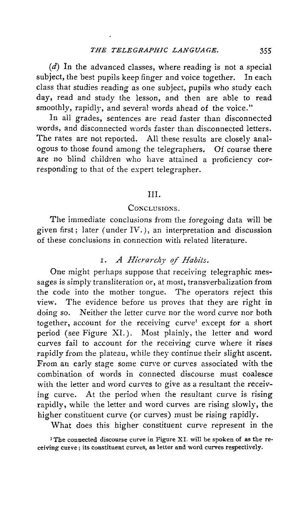*(d)* In the advanced classes, where reading is not a special subject, the best pupils keep finger and voice together. In each class that studies reading as one subject, pupils who study each day, read and study the lesson, and then are able to read smoothly, rapidly, and several words ahead of the voice."

In all grades, sentences are read faster than disconnected words, and disconnected words faster than disconnected letters. The rates are not reported. All these results are closely analogous to those found among the telegraphers. Of course there are no blind children who have attained a proficiency corresponding to that of the expert telegrapher.

#### III.

#### CONCLUSIONS.

The immediate conclusions from the foregoing data will be given first; later (under IV.), an interpretation and discussion of these conclusions in connection with related literature.

#### 1. *A Hierarchy of Habits.*

One might perhaps suppose that receiving telegraphic messages is simply transliteration or, at most, transverbalization from the code into the mother tongue. The operators reject this view. The evidence before us proves that they are right in doing so. Neither the letter curve nor the word curve nor both together, account for the receiving curve<sup>1</sup> except for a short period (see Figure XL). Most plainly, the letter and word curves fail to account for the receiving curve where it rises rapidly from the plateau, while they continue their slight ascent. From an early stage some curve or curves associated with the combination of words in connected discourse must coalesce with the letter and word curves to give as a resultant the receiving curve. At the period when the resultant curve is rising rapidly, while the letter and word curves are rising slowly, the higher constituent curve (or curves) must be rising rapidly.

What does this higher constituent curve represent in the

<sup>1</sup> The connected discourse curve in Figure XI. will be spoken of as the receiving curve; its constituent curves, as letter and word curves respectively.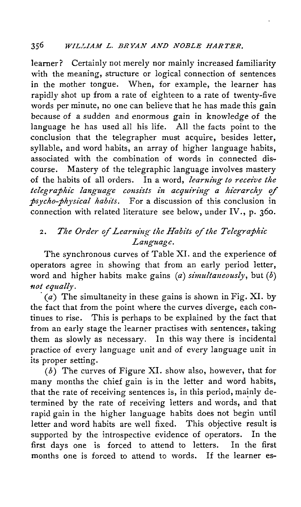learner? Certainly not merely nor mainly increased familiarity with the meaning, structure or logical connection of sentences in the mother tongue. When, for example, the learner has rapidly shot up from a rate of eighteen to a rate of twenty-five words per minute, no one can believe that he has made this gain because of a sudden and enormous gain in knowledge of the language he has used all his life. All the facts point to the conclusion that the telegrapher must acquire, besides letter, syllable, and word habits, an array of higher language habits, associated with the combination of words in connected discourse. Mastery of the telegraphic language involves mastery of the habits of all orders. In a word, *learning to receive the telegraphic language consists in acquiring a hierarchy of •psycho-physical habits.* For a discussion of this conclusion in connection with related literature see below, under IV., p. 360.

# 2. *The Order of Learning the Habits of the Telegraphic Language.*

The synchronous curves of Table XI. and the experience of operators agree in showing that from an early period letter, word and higher habits make gains *[a) simultaneously,* but *(b) not equally.*

*(a)* The simultaneity in these gains is shown in Fig. XI. by the fact that from the point where the curves diverge, each continues to rise. This is perhaps to be explained by the fact that from an early stage the learner practises with sentences, taking them as slowly as necessary. In this way there is incidental practice of every language unit and of every language unit in its proper setting.

*(b)* The curves of Figure XI. show also, however, that for many months the chief gain is in the letter and word habits, that the rate of receiving sentences is, in this period, mainly determined by the rate of receiving letters and words, and that rapid gain in the higher language habits does not begin until letter and word habits are well fixed. This objective result is supported by the introspective evidence of operators. In the first days one is forced to attend to letters. In the first months one is forced to attend to words. If the learner es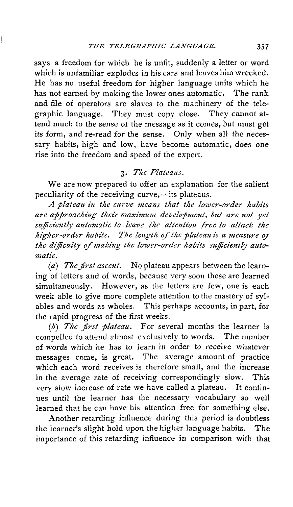$\mathbf{I}$ 

says a freedom for which he is unfit, suddenly a letter or word which is unfamiliar explodes in his ears and leaves him wrecked. He has no useful freedom for higher language units which he has not earned by making the lower ones automatic. The rank and file of operators are slaves to the machinery of the telegraphic language. They must copy close. They cannot attend much to the sense of the message as it comes, but must get its form, and re-read for the sense. Only when all the necessary habits, high and low, have become automatic, does one rise into the freedom and speed of the expert.

## 3. *The Plateaus.*

We are now prepared to offer an explanation for the salient peculiarity of the receiving curve,—its plateaus.

*A plateau in the curve means that the lower-order habits are approaching their maximum development, but are not yet sufficiently automatic to. leave the attention free to attack the higher-order habits. The length of the plateau is a measure oj the difficulty of making the lower-order habits sufficiently automatic.*

*(a) The first ascent.* No plateau appears between the learning of letters and of words, because very soon these are learned simultaneously. However, as the letters are few, one is each week able to give more complete attention to the mastery of sylables and words as wholes. This perhaps accounts, in part, for the rapid progress of the first weeks.

*(b) The first plateau.* For several months the learner is compelled to attend almost exclusively to words. The number of words which he has to learn in order to receive whatever messages come, is great. The average amount of practice which each word receives is therefore small, and the increase in the average rate of receiving correspondingly slow. This very slow increase of rate we have called a plateau. It continues until the learner has the necessary vocabulary so well learned that he can have his attention free for something else.

Another retarding influence during this period is doubtless the learner's slight hold upon the higher language habits. The importance of this retarding influence in comparison with that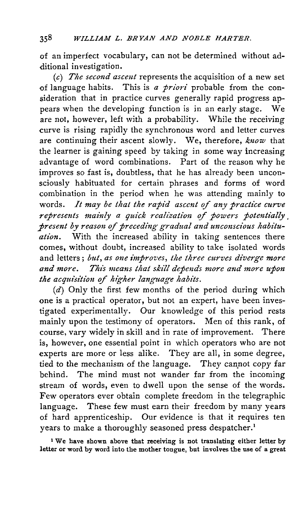of an imperfect vocabulary, can not be determined without additional investigation.

*(c) The second ascent* represents the acquisition of a new set of language habits. This is *a priori* probable from the consideration that in practice curves generally rapid progress appears when the developing function is in an early stage. We are not, however, left with a probability. While the receiving curve is rising rapidly the synchronous word and letter curves are continuing their ascent slowly. We, therefore, *know* that the learner is gaining speed by taking in some way increasing advantage of word combinations. Part of the reason why he improves so fast is, doubtless, that he has already been unconsciously habituated for certain phrases and forms of word combination in the period when he was attending mainly to words. *It may be that the rapid ascent of any practice curve represents mainly a quick realization of powers potentially*, *^present by reason of preceding gradual and unconscious habituation*. With the increased ability in taking sentences there comes, without doubt, increased ability to take isolated words and letters ; *but, as one improves, the three curves diverge more and more. This means that skill depends more and more upon the acquisition of higher language habits.*

*(d)* Only the first few months of the period during which one is a practical operator, but not an expert, have been investigated experimentally. Our knowledge of this period rests mainly upon the testimony of operators. Men of this rank, of course, vary widely in skill and in rate of improvement. There is, however, one essential point in which operators who are not experts are more or less alike. They are all, in some degree, tied to the mechanism of the language. They cannot copy far behind. The mind must not wander far from the incoming stream of words, even to dwell upon the sense of the words. Few operators ever obtain complete freedom in the telegraphic language. These few must earn their freedom by many years of hard apprenticeship. Our evidence is that it requires ten years to make a thoroughly seasoned press despatcher.<sup>1</sup>

<sup>1</sup> We have shown above that receiving is not translating either letter by letter or word by word into the mother tongue, but involves the use of a great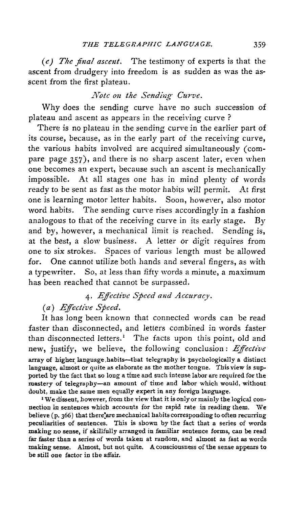*(c) The final ascent.* The testimony of experts is that the ascent from drudgery into freedom is as sudden as was the asscent from the first plateau.

## *Note on the Sending Curve.*

Why does the sending curve have no such succession of plateau and ascent as appears in the receiving curve ?

There is no plateau in the sending curve in the earlier part of its course, because, as in the early part of the receiving curve, the various habits involved are acquired simultaneously (compare page 357), and there is no sharp ascent later, even when one becomes an expert, because such an ascent is mechanically impossible. At all stages one has in mind plenty of words ready to be sent as fast as the motor habits will permit. At first one is learning motor letter habits. Soon, however, also motor word habits. The sending curve rises accordingly in a fashion analogous to that of the receiving curve in its early stage. By and by, however, a mechanical limit is reached. Sending is, at the best, a slow business. A letter or digit requires from one to six strokes. Spaces of various length must be allowed for. One cannot utilize both hands and several fingers, as with a typewriter. So, at less than fifty words a minute, a maximum has been reached that cannot be surpassed.

## 4. *Effective Speed and Accuracy.*

## (a) *Effective Speed.*

It has long been known that connected words can be read faster than disconnected, and letters combined in words faster than disconnected letters.<sup>1</sup> The facts upon this point, old and new, justify, we believe, the following conclusion: *Effective* array of higher language .habits—that telegraphy is psychologically a distinct language, almost or quite as elaborate as the mother tongue. This view is supported by the fact that so long a time and such intense labor are required for the mastery of telegraphy—an amount of time and labor which would, without doubt, make the same men equally expert in any foreign language.

<sup>1</sup> We dissent, however, from the view that it is only or mainly the logical connection in sentences which accounts for the rapid rate in reading them. We believe (p. 366) that there'are mechanical habits corresponding to often recurring peculiarities of sentences. This is shown by the fact that a series of words making no sense, if skillfully arranged in familiar sentence forms, can be read far faster than a series of words taken at random, and almost as fast as words making sense. Almost, but not quite. A consciousness of the sense appears to be still one factor in the affair.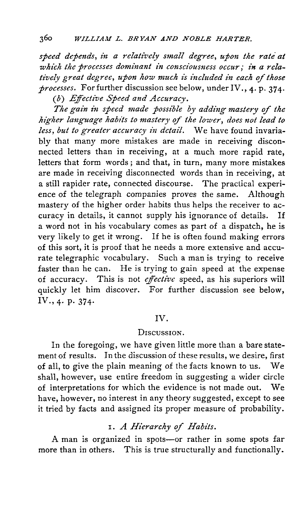*speed depends, in a relatively small degree, upon the rate at* which the processes dominant in consciousness occur; in a rela*tively great degree, upon hoiv much is included in each of those processes.* For further discussion see below, under IV., 4. p. 374.

(3) *Effective Speed and Accuracy.*

*The gain in speed made possible by adding mastery of the higher language habits to mastery of the lower, does not lead to less, but to greater accuracy in detail.* We have found invariably that many more mistakes are made in receiving disconnected letters than in receiving, at a much more rapid rate, letters that form words; and that, in turn, many more mistakes are made in receiving disconnected words than in receiving, at a still rapider rate, connected discourse. The practical experience of the telegraph companies proves the same. Although mastery of the higher order habits thus helps the receiver to accuracy in details, it cannot supply his ignorance of details. If a word not in his vocabulary comes as part of a dispatch, he is very likely to get it wrong. If he is often found making errors of this sort, it is proof that he needs a more extensive and accurate telegraphic vocabulary. Such a man is trying to receive faster than he can. He is trying to gain speed at the expense of accuracy. This is not *effective* speed, as his superiors will quickly let him discover. For further discussion see below, IV., 4. p. 374.

#### IV.

#### Discussion.

In the foregoing, we have given little more than a bare statement of results. In the discussion of these results, we desire, first of all, to give the plain meaning of the facts known to us. We shall, however, use entire freedom in suggesting a wider circle of interpretations for which the evidence is not made out. We have, however, no interest in any theory suggested, except to see it tried by facts and assigned its proper measure of probability.

# 1. *A Hierarchy of Habits.*

A man is organized in spots—or rather in some spots far more than in others. This is true structurally and functionally.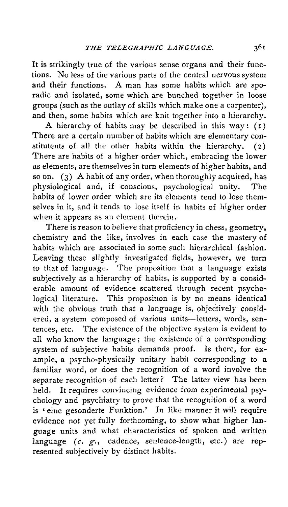It is strikingly true of the various sense organs and their functions. No less of the various parts of the central nervous system and their functions. A man has some habits which are sporadic and isolated, some which are bunched together in loose groups (such as the outlay of skills which make one a carpenter), and then, some habits which are knit together into a hierarchy.

A hierarchy of habits may be described in this way:  $(i)$ There are a certain number of habits which are elementary constitutents of all the other habits within the hierarchy. (2) There are habits of a higher order which, embracing the lower as elements, are themselves in turn elements of higher habits, and so on. (3) A habit of any order, when thoroughly acquired, has physiological and, if conscious, psychological unity. The habits of lower order which are its elements tend to lose themselves in it, and it tends to lose itself in habits of higher order when it appears as an element therein.

There is reason to believe that proficiency in chess, geometry, chemistry and the like, involves in each case the mastery of habits which are associated in some such hierarchical fashion. Leaving these slightly investigated fields, however, we turn to that of language. The proposition that a language exists subjectively as a hierarchy of habits, is supported by a considerable amount of evidence scattered through recent psychological literature. This proposition is by no means identical with the obvious truth that a language is, objectively considered, a system composed of various units—letters, words, sentences, etc. The existence of the objective system is evident to all who know the language; the existence of a corresponding system of subjective habits demands proof. Is there, for example, a psycho-physically unitary habit corresponding to a familiar word, or does the recognition of a word involve the separate recognition of each letter? The latter view has been held. It requires convincing evidence from experimental psychology and psychiatry to prove that the recognition of a word is 'eine gesonderte Funktion.' In like manner it will require evidence not yet fully forthcoming, to show what higher language units and what characteristics of spoken and written language *(c. g.,* cadence, sentence-length, etc.) are represented subjectively by distinct habits.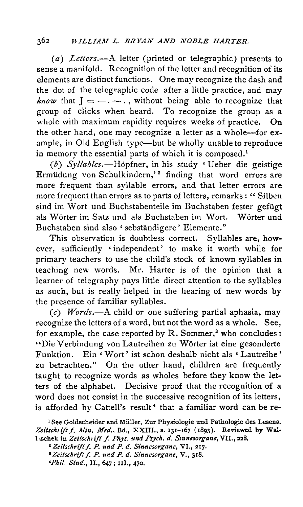*(a) Letters.*—A letter (printed or telegraphic) presents to sense a manifold. Recognition of the letter and recognition of its elements are distinct functions. One may recognize the dash and the dot of the telegraphic code after a little practice, and may *know* that  $J = -$ ..., without being able to recognize that group of clicks when heard. To recognize the group as a whole with maximum rapidity requires weeks of practice. On the other hand, one may recognize a letter as a whole—for example, in Old English type—but be wholly unable to reproduce in memory the essential parts of which it is composed.<sup>1</sup>

*(b) Syllables.*—Hopfner, in his study ' Ueber die geistige Ermiidung von Schulkindern,'<sup>2</sup> finding that word errors are more frequent than syllable errors, and that letter errors are more frequent than errors as to parts of letters, remarks : " Silben sind im Wort und Buchstabenteile im Buchstaben fester gefugt als Worter im Satz und als Buchstaben im Wort. Worter und Buchstaben sind also ' sebstandigere' Elemente."

This observation is doubtless correct. Syllables are, however, sufficiently ' independent' to make it worth while for primary teachers to use the child's stock of known syllables in teaching new words. Mr. Harter is of the opinion that a learner of telegraphy pays little direct attention to the syllables as such, but is really helped in the hearing of new words by the presence of familiar syllables.

(c) *Words.*—A child or one suffering partial aphasia, may recognize the letters of a word, but not the word as a whole. See, for example, the case reported by  $R$ . Sommer,<sup>3</sup> who concludes : "Die Verbindung von Lautreihen zu Worter ist eine gesonderte Funktion. Ein 'Wort' ist schon deshalb nicht als 'Lautreihe' zu betrachten." On the other hand, children are frequently taught to recognize words as wholes before they know the letters of the alphabet. Decisive proof that the recognition of a word does not consist in the successive recognition of its letters, is afforded by Cattell's result<sup>4</sup> that a familiar word can be re-

<sup>1</sup> See Goldscheider and Müller, Zur Physiologie und Pathologie des Lesens. *Zeitschtift f. klin. Med.,* Bd., XXIII., s. 131-167 (1893). Reviewed by Wal-1 ischek in *Zeilschiift f. Phys. und Psych, d. Stnnesorgane,* VII., 228.

*<sup>&#</sup>x27; Zeilschriflf. P. und P. d. Sinnesorgane,* VI., 217.

*s Zeitschriftf. P. und P. d. Sinnesorgane,* V., 318.

*<sup>&#</sup>x27;PAil. Stud.,* II., 647; III., 470.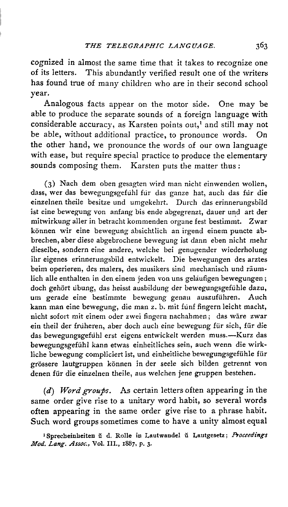cognized in almost the same time that it takes to recognize one of its letters. This abundantly verified result one of the writers has found true of many children who are in their second school year.

Analogous facts appear on the motor side. One may be able to produce the separate sounds of a foreign language with considerable accuracy, as Karsten points out,<sup>1</sup> and still may not be able, without additional practice, to pronounce words. On the other hand, we pronounce the words of our own language with ease, but require special practice to produce the elementary sounds composing them. Karsten puts the matter thus :

(3) Nach dem oben gesagten wird man nicht einwenden wollen, dass, wer das bewegungsgefuhl fur das ganze hat, auch das fur die einzelnen theile besitze und umgekehrt. Durch das erinnerungsbild ist eine bewegung von anfang bis ende abgegrenzt, dauer und art der mitwirkung aller in betracht kommenden organe fest bestimmt. Zwar können wir eine bewegung absichtlich an irgend einem puncte abbrecben, aber diese abgebrochene bewegung ist dann eben nicht mehr dieselbe, sondern eine andere, welche bei genugender wiederholung ihr eigenes erinnerungsbild enrwickelt. Die bewegungen des arztes beim operieren, des malers, des musikers sind mechanisch und räumlich alle enthalten in den einem jeden von uns gelaufigen bewegungen ; doch gehört übung, das heisst ausbildung der bewegungsgefühle dazu, um gerade eine bestimmte bewegung genau auszufiihren. Auch kann man eine bewegung, die man z. b. mit fiinf fingern leicht macht, nicht sofort mit einem oder zwei fingern nachahmen; das ware zwar ein theil der früheren, aber doch auch eine bewegung für sich, für die das bewegungsgefiihl erst eigens entwickelt werden muss.—Kurz das bewegungsgefiihl kann etwas einheitliches sein, auch wenn die wirkliche bewegung compliciert ist, und einheitliche bewegungsgefiihle fiir grössere lautgruppen können in der seele sich bilden getrennt von denen fiir die einzelnen theile, aus welchen jene gruppen bestehen.

*id) Word groups.* As certain letters often appearing in the same order give rise to a unitary word habit, so several words often appearing in the same order give rise to a phrase habit. Such word groups sometimes come to have a unity almost equal

<sup>1</sup> Sprecheinheiten ud d. Rolle in Lautwandel ud Lautgesetz; Proceedings *Mod. Lang. Assoc,* Vol. III., 1887, p. 3.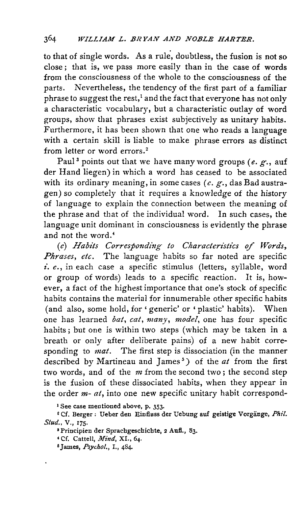to that of single words. As a rule, doubtless, the fusion is not so close; that is, we pass more easily than in the case of words from the consciousness of the whole to the consciousness of the parts. Nevertheless, the tendency of the first part of a familiar phrase to suggest the rest,<sup>1</sup> and the fact that everyone has not only a characteristic vocabulary, but a characteristic outlay of word groups, show that phrases exist subjectively as unitary habits. Furthermore, it has been shown that one who reads a language with a certain skill is liable to make phrase errors as distinct from letter or word errors.<sup>2</sup>

Paul<sup>3</sup> points out that we have many word groups (e. g., auf der Hand liegen) in which a word has ceased to be associated with its ordinary meaning, in some cases *(c. g.,* das Bad austragen) so completely that it requires a knowledge of the history of language to explain the connection between the meaning of the phrase and that of the individual word. In such cases, the language unit dominant in consciousness is evidently the phrase and not the word.\*

*(e) Habits Corresponding to Characteristics of Words, Phrases, etc.* The language habits so far noted are specific *i. e.,* in each case a specific stimulus (letters, syllable, word or group of words) leads to a specific reaction. It is, however, a fact of the highest importance that one's stock of specific habits contains the material for innumerable other specific habits (and also, some hold, for ' generic' or *'* plastic' habits). When one has learned *bat, cat, many, model,* one has four specific habits; but one is within two steps (which may be taken in a breath or only after deliberate pains) of a new habit corresponding to *mat*. The first step is dissociation (in the manner described by Martineau and James<sup>5</sup>) of the *at* from the first two words, and of the *m* from the second two ; the second step is the fusion of these dissociated habits, when they appear in the order *m- at,* into one new specific unitary habit correspond-

1 See case mentioned above, p. 353.

<sup>2</sup> Cf. Berger : Ueber den Einfluss der Uebung auf geistige Vorgänge, Phil. *Stud.,* V., 175.

•Principien der Sprachgeschichte, 2 Aufl., 83.

*\** Cf. Cattell, *Mind,* XI., 64.

•James, *Psycho I.,* I., 484.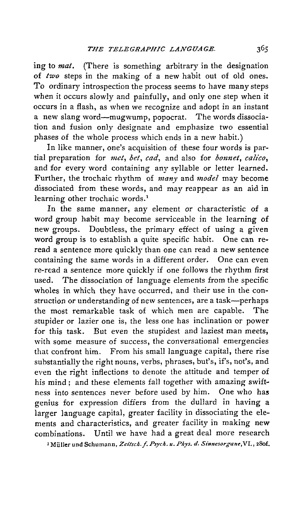ing to *mat.* (There is something arbitrary in the designation of *two* steps in the making of a new habit out of old ones. To ordinary introspection the process seems to have many steps when it occurs slowly and painfully, and only one step when it occurs in a flash, as when we recognize and adopt in an instant a new slang word—mugwump, popocrat. The words dissociation and fusion only designate and emphasize two essential phases of the whole process which ends in a new habit.)

In like manner, one's acquisition of these four words is partial preparation for *met, bet, cad,* and also for *Sonnet, calico,* and for every word containing any syllable or letter learned. Further, the trochaic rhythm of *many* and *model* may become dissociated from these words, and may reappear as an aid in learning other trochaic words.<sup>1</sup>

In the same manner, any element or characteristic of a word group habit may become serviceable in the learning of new groups. Doubtless, the primary effect of using a given word group is to establish a quite specific habit. One can reread a sentence more quickly than one can read a new sentence containing the same words in a different order. One can even re-read a sentence more quickly if one follows the rhythm first used. The dissociation of language elements from the specific wholes in which they have occurred, and their use in the construction or understanding of new sentences, are a task—perhaps the most remarkable task of which men are capable. The stupider or lazier one is, the less one has inclination or power for this task. But even the stupidest and laziest man meets, with some measure of success, the conversational emergencies that confront him. From his small language capital, there rise substantially the right nouns, verbs, phrases, but's, if's, not's, and even the right inflections to denote the attitude and temper of his mind; and these elements fall together with amazing swiftness into sentences never before used by him. One who has genius for expression differs from the dullard in having a larger language capital, greater facility in dissociating the elements and characteristics, and greater facility in making new combinations. Until we have had a great deal more research

<sup>1</sup> Müller und Schumann, *Zeitsch. f. Psych. u. Phys. d. Sinnesorgane*, VI., 280f.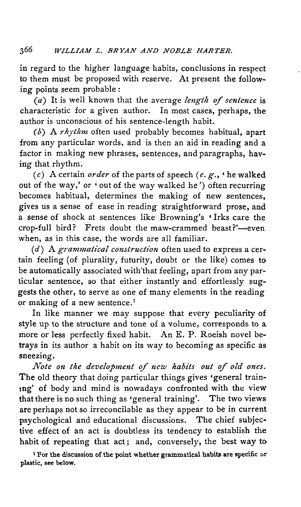in regard to the higher language habits, conclusions in respect to them must be proposed with reserve. At present the following points seem probable:

(a) It is well known that the average *length of sentence* is characteristic for a given author. In most cases, perhaps, the author is unconscious of his sentence-length habit.

(3) A *rhythm* often used probably becomes habitual, apart from any particular words, and is then an aid in reading and a factor in making new phrases, sentences, and paragraphs, having that rhythm.

(c) A certain *order* of the parts of speech *(e. g.,* 'he walked out of the way,' or ' out of the way walked he') often recurring becomes habitual, determines the making of new sentences, gives us a sense of ease in reading straightforward prose, and a sense of shock at sentences like Browning's • Irks care the crop-full bird? Frets doubt the maw-crammed beast?'—even when, as in this case, the words are all familiar.

*(d)* A *grammatical construction* often used to express a certain feeling (of plurality, futurity, doubt or the like) comes to be automatically associated with'that feeling, apart from any particular sentence, so that either instantly and effortlessly suggests the other, to serve as one of many elements in the reading or making of a new sentence.<sup>1</sup>

In like manner we may suppose that every peculiarity of style up to the structure and tone of a volume, corresponds to a more or less perfectly fixed habit. An E. P. Roeish novel betrays in its author a habit on its way to becoming as specific as sneezing.

*Note on the development of new habits out of old ones.* The old theory that doing particular things gives 'general training' of body and mind is nowadays confronted with the view that there is no such thing as 'general training'. The two views are perhaps not so irreconcilable as they appear to be in current psychological and educational discussions. The chief subjective effect of an act is doubtless its tendency to establish the habit of repeating that act; and, conversely, the best way to

<sup>1</sup> For the discussion of the point whether grammatical habits are specific or plastic, see below.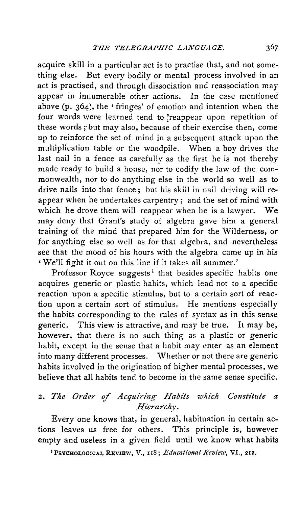acquire skill in a particular act is to practise that, and not something else. But every bodily or mental process involved in an act is practised, and through dissociation and reassociation may appear in innumerable other actions. In the case mentioned above (p. 364), the ' fringes' of emotion and intention when the four words were learned tend to reappear upon repetition of these words ; but may also, because of their exercise then, come up to reinforce the set of mind in a subsequent attack upon the multiplication table or the woodpile. When a boy drives the last nail in a fence as carefully as the first he is not thereby made ready to build a house, nor to codify the law of the commonwealth, nor to do anything else in the world so well as to drive nails into that fence; but his skill in nail driving will reappear when he undertakes carpentry ; and the set of mind with which he drove them will reappear when he is a lawyer. We may deny that Grant's study of algebra gave him a general training of the mind that prepared him for the Wilderness, or for anything else so well as for that algebra, and nevertheless see that the mood of his hours with the algebra came up in his ' We'll fight it out on this line if it takes all summer.'

Professor Royce suggests<sup>1</sup> that besides specific habits one acquires generic or plastic habits, which lead not to a specific reaction upon a specific stimulus, but to a certain sort of reaction upon a certain sort of stimulus. He mentions especially the habits corresponding to the rules of syntax as in this sense generic. This view is attractive, and may be true. It may be, however, that there is no such thing as a plastic or generic habit, except in the sense that a habit may enter as an element into many different processes. Whether or not there are generic habits involved in the origination of higher mental processes, we believe that all habits tend to become in the same sense specific.

# 2. *The Order of Acquiring Habits -which Constitute a Hierarchy.*

Every one knows that, in general, habituation in certain actions leaves us free for others. This principle is, however empty and useless in a given field until we know what habits

'PSYCHOLOGICAL REVIEW, V., 11S; *Educational Review,* VI., 212.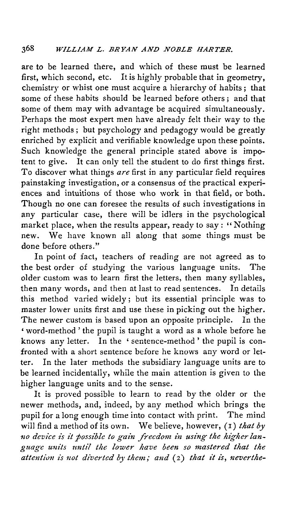#### 368 *WILLIAM L. BRYAN AND NOBLE HARTER.*

are to be learned there, and which of these must be learned first, which second, etc. It is highly probable that in geometry, chemistry or whist one must acquire a hierarchy of habits ; that some of these habits should be learned before others; and that some of them may with advantage be acquired simultaneously. Perhaps the most expert men have already felt their way to the right methods ; but psychology and pedagogy would be greatly enriched by explicit and verifiable knowledge upon these points. Such knowledge the general principle stated above is impotent to give. It can only tell the student to do first things first. To discover what things *are* first in any particular field requires painstaking investigation, or a consensus of the practical experiences and intuitions of those who work in that field, or both. Though no one can foresee the results of such investigations in any particular case, there will be idlers in the psychological market place, when the results appear, ready to say : " Nothing new. We have known all along that some things must be done before others."

In point of fact, teachers of reading are not agreed as to the best order of studying the various language units. The older custom was to learn first the letters, then many syllables, then many words, and then at last to read sentences. In details this method varied widely; but its essential principle was to master lower units first and use these in picking out the higher. The newer custom is based upon an opposite principle. In the ' word-method ' the pupil is taught a word as a whole before he knows any letter. In the ' sentence-method ' the pupil is confronted with a short sentence before he knows any word or letter. In the later methods the subsidiary language units are to be learned incidentally, while the main attention is given to the higher language units and to the sense.

It is proved possible to learn to read by the older or the newer methods, and, indeed, by any method which brings the pupil for a long enough time into contact with print. The mind will find a method of its own. We believe, however, (1) that by *no device is it possible to gain freedom in using the higher language units until the lower have been so mastered that the attention is not diverted by them; and* (2) *that it is, never the-*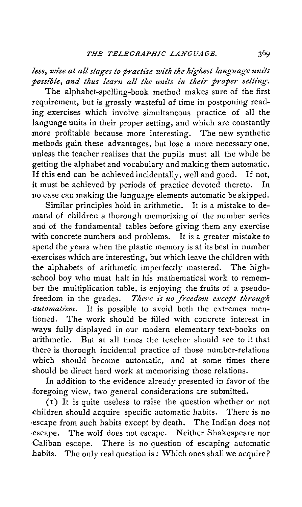*less, wise at all stages to practise with the highest language units •possible, and thus learn all the units in their proper setting.*

The alphabet-spelling-book method makes sure of the first requirement, but is grossly wasteful of time in postponing reading exercises which involve simultaneous practice of all the language units in their proper setting, and which are constantly more profitable because more interesting. The new synthetic methods gain these advantages, but lose a more necessary one, unless the teacher realizes that the pupils must all the while be getting the alphabet and vocabulary and making them automatic. If this end can be achieved incidentally, well and good. If not, it must be achieved by periods of practice devoted thereto. In no case can making the language elements automatic be skipped.

Similar principles hold in arithmetic. It is a mistake to demand of children a thorough memorizing of the number series and of the fundamental tables before giving them any exercise with concrete numbers and problems. It is a greater mistake to spend the years when the plastic memory is at its best in number •exercises which are interesting, but which leave the children with the alphabets of arithmetic imperfectly mastered. The highschool boy who must halt in his mathematical work to remember the multiplication table, is enjoying the fruits of a pseudofreedom in the grades. *There is no freedom except through •automatism.* It is possible to avoid both the extremes mentioned. The work should be filled with concrete interest in ways fully displayed in our modern elementary text-books on arithmetic. But at all times the teacher should see to it that there is thorough incidental practice of those number-relations which should become automatic, and at some times there should be direct hard work at memorizing those relations.

In addition to the evidence already presented in favor of the foregoing view, two general considerations are submitted.

(1) It is quite useless to raise the question whether or not children should acquire specific automatic habits. There is no •escape from such habits except by death. The Indian does not •escape. The wolf does not escape. Neither Shakespeare nor •Caliban escape. There is no question of escaping automatic habits. The only real question is: Which ones shall we acquire?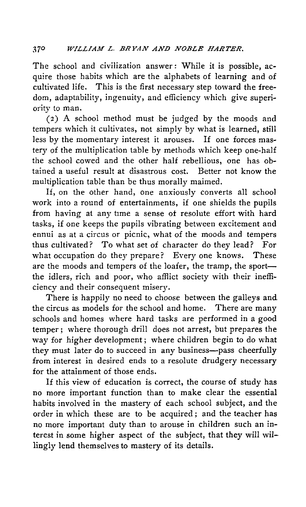The school and civilization answer: While it is possible, acquire those habits which are the alphabets of learning and of cultivated life. This is the first necessary step toward the freedom, adaptability, ingenuity, and efficiency which give superiority to man.

(2) A school method must be judged by the moods and tempers which it cultivates, not simply by what is learned, still less by the momentary interest it arouses. If one forces mastery of the multiplication table by methods which keep one-half the school cowed and the other half rebellious, one has obtained a useful result at disastrous cost. Better not know the multiplication table than be thus morally maimed.

If, on the other hand, one anxiously converts all school work into a round of entertainments, if one shields the pupils from having at any time a sense of resolute effort with hard tasks, if one keeps the pupils vibrating between excitement and ennui as at a circus or picnic, what of the moods and tempers thus cultivated? To what set of character do they lead? For what occupation do they prepare? Every one knows. These are the moods and tempers of the loafer, the tramp, the sport the idlers, rich and poor, who afflict society with their inefficiency and their consequent misery.

There is happily no need to choose between the galleys and the circus as models for the school and home. There are many schools and homes where hard tasks are performed in a good temper; where thorough drill does not arrest, but prepares the way for higher development; where children begin to do what they must later do to succeed in any business—pass cheerfully from interest in desired ends to a resolute drudgery necessary for the attainment of those ends.

If this view of education is correct, the course of study has no more important function than to make clear the essential habits involved in the mastery of each school subject, and the order in which these are to be acquired; and the teacher has no more important duty than to arouse in children such an interest in some higher aspect of the subject, that they will willingly lend themselves to mastery of its details.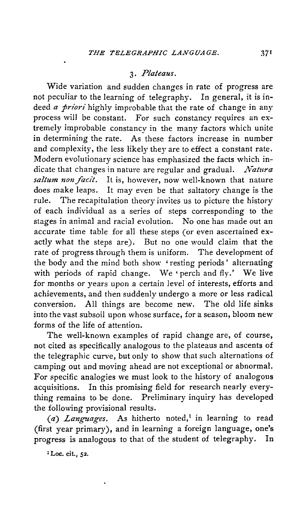#### 3. *Plateaus.*

Wide variation and sudden changes in rate of progress are not peculiar to the learning of telegraphy. In general, it is indeed *a priori* highly improbable that the rate of change in any process will be constant. For such constancy requires an extremely improbable constancy in the many factors which unite in determining the rate. As these factors increase in number and complexity, the less likely they are to effect a constant rate. Modern evolutionary science has emphasized the facts which indicate that changes in nature are regular and gradual. Natura saltum non facit. It is, however, now well-known that nature does make leaps. It may even be that saltatory change is the rule. The recapitulation theory invites us to picture the history of each individual as a series of steps corresponding to the stages in animal and racial evolution. No one has made out an accurate time table for all these steps (or even ascertained exactly what the steps are). But no one would claim that the rate of progress through them is uniform. The development of the body and the mind both show ' resting periods' alternating with periods of rapid change. We 'perch and fly.' We live for months or years upon a certain level of interests, efforts and achievements, and then suddenly undergo a more or less radical conversion. All things are become new. The old life sinks into the vast subsoil upon whose surface, for a season, bloom new forms of the life of attention.

The well-known examples of rapid change are, of course, not cited as specifically analogous to the plateaus and ascents of the telegraphic curve, but only to show that such alternations of camping out and moving ahead are not exceptional or abnormal. For specific analogies we must look to the history of analogous acquisitions. In this promising field for research nearly everything remains to be done. Preliminary inquiry has developed the following provisional results.

(a) Languages. As hitherto noted,<sup>1</sup> in learning to read (first year primary), and in learning a foreign language, one's progress is analogous to that of the student of telegraphy. In

<sup>1</sup>Loc. cit., 52.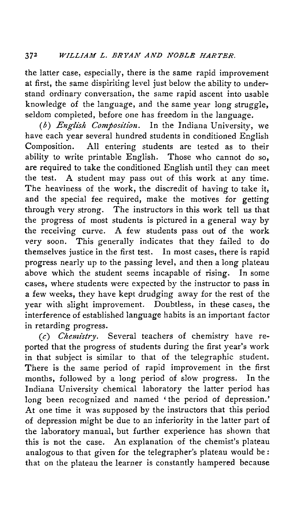the latter case, especially, there is the same rapid improvement at first, the same dispiriting level just below the ability to understand ordinary conversation, the same rapid ascent into usable knowledge of the language, and the same year long struggle, seldom completed, before one has freedom in the language.

(b) English Composition. In the Indiana University, we have each year several hundred students in conditioned English Composition. All entering students are tested as to their ability to write printable English. Those who cannot do so, are required to take the conditioned English until they can meet the test. A student may pass out of this work at any time. The heaviness of the work, the discredit of having to take it, and the special fee required, make the motives for getting through very strong. The instructors in this work tell us that the progress of most students is pictured in a general way by the receiving curve. A few students pass out of the work very soon. This generally indicates that they failed to do themselves justice in the first test. In most cases, there is rapid progress nearly up to the passing level, and then a long plateau above which the student seems incapable of rising. In some cases, where students were expected by the instructor to pass in a few weeks, they have kept drudging away for the rest of the year with slight improvement. Doubtless, in these cases, the interference of established language habits is an important factor in retarding progress.

(c) *Chemistry.* Several teachers of chemistry have reported that the progress of students during the first year's work in that subject is similar to that of the telegraphic student. There is the same period of rapid improvement in the first months, followed by a long period of slow progress. In the Indiana University chemical laboratory the latter period has long been recognized and named 'the period of depression.' At one time it was supposed by the instructors that this period of depression might be due to an inferiority in the latter part of the laboratory manual, but further experience has shown that this is not the case. An explanation of the chemist's plateau analogous to that given for the telegrapher's plateau would be : that on the plateau the learner is constantly hampered because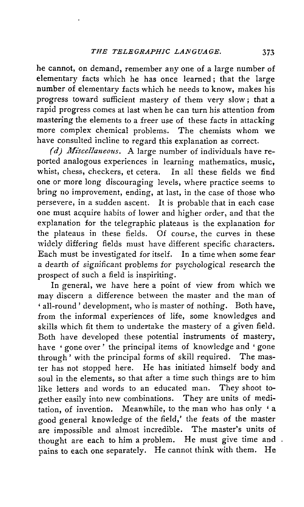he cannot, on demand, remember any one of a large number of elementary facts which he has once learned; that the large number of elementary facts which he needs to know, makes his progress toward sufficient mastery of them very slow; that a rapid progress comes at last when he can turn his attention from mastering the elements to a freer use of these facts in attacking more complex chemical problems. The chemists whom we have consulted incline to regard this explanation as correct.

*(d) Miscellaneous.* A large number of individuals have reported analogous experiences in learning mathematics, music, whist, chess, checkers, et cetera. In all these fields we find one or more long discouraging levels, where practice seems to bring no improvement, ending, at last, in the case of those wha persevere, in a sudden ascent. It is probable that in each case one must acquire habits of lower and higher order, and that the explanation for the telegraphic plateaus is the explanation for the plateaus in these fields. Of course, the curves in these widely differing fields must have different specific characters. Each must be investigated for itself. In a time when some fear a dearth of significant problems for psychological research the prospect of such a field is inspiriting.

In general, we have here a point of view from which we may discern a difference between the master and the man of ' all-round ' development, who is master of nothing. Both have, from the informal experiences of life, some knowledges and skills which fit them to undertake the mastery of a given field. Both have developed these potential instruments of mastery, have ' gone over' the principal items of knowledge and ' gone through' with the principal forms of skill required. The master has not stopped here. He has initiated himself body and soul in the elements, so that after a time such things are to him like letters and words to an educated man. They shoot together easily into new combinations. They are units of meditation, of invention. Meanwhile, to the man who has only ' a good general knowledge of the field,' the feats of the master are impossible and almost incredible. The master's units of thought are each to him a problem. He must give time and. pains to each one separately. He cannot think with them. He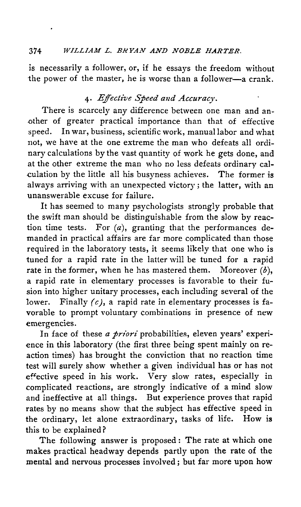is necessarily a follower, or, if he essays the freedom without the power of the master, he is worse than a follower—a crank.

# 4. *Effective Speed and Accuracy.*

There is scarcely any difference between one man and another of greater practical importance than that of effective speed. In war, business, scientific work, manual labor and what not, we have at the one extreme the man who defeats all ordinary calculations by the vast quantity of work he gets done, and at the other extreme the man who no less defeats ordinary calculation by the little all his busyness achieves. The former is always arriving with an unexpected victory; the latter, with an unanswerable excuse for failure.

It has seemed to many psychologists strongly probable that the swift man should be distinguishable from the slow by reaction time tests. For *(a),* granting that the performances demanded in practical affairs are far more complicated than those required in the laboratory tests, it seems likely that one who is tuned for a rapid rate in the latter will be tuned for a rapid rate in the former, when he has mastered them. Moreover *(b),* a rapid rate in elementary processes is favorable to their fusion into higher unitary processes, each including several of the lower. Finally *(c),* a rapid rate in elementary processes is favorable to prompt voluntary combinations in presence of new emergencies.

In face of these *a priori* probabilities, eleven years' experience in this laboratory (the first three being spent mainly on reaction times) has brought the conviction that no reaction time test will surely show whether a given individual has or has not effective speed in his work. Very slow rates, especially in complicated reactions, are strongly indicative of a mind slow and ineffective at all things. But experience proves that rapid rates by no means show that the subject has effective speed in the ordinary, let alone extraordinary, tasks of life. How is this to be explained?

The following answer is proposed : The rate at which one makes practical headway depends partly upon the rate of the mental and nervous processes involved; but far more upon how